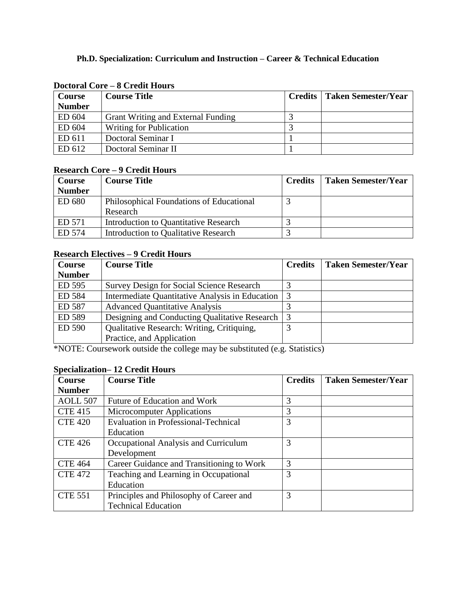## **Ph.D. Specialization: Curriculum and Instruction – Career & Technical Education**

| Course        | <b>Course Title</b>                | <b>Credits</b>   Taken Semester/Year |
|---------------|------------------------------------|--------------------------------------|
| <b>Number</b> |                                    |                                      |
| ED 604        | Grant Writing and External Funding |                                      |
| ED 604        | <b>Writing for Publication</b>     |                                      |
| ED 611        | Doctoral Seminar I                 |                                      |
| ED 612        | Doctoral Seminar II                |                                      |

#### **Doctoral Core – 8 Credit Hours**

#### **Research Core – 9 Credit Hours**

| <b>Course</b> | <b>Course Title</b>                                  | <b>Credits</b> | <b>Taken Semester/Year</b> |
|---------------|------------------------------------------------------|----------------|----------------------------|
| <b>Number</b> |                                                      |                |                            |
| ED 680        | Philosophical Foundations of Educational<br>Research |                |                            |
| ED 571        | Introduction to Quantitative Research                |                |                            |
| ED 574        | Introduction to Qualitative Research                 |                |                            |

### **Research Electives – 9 Credit Hours**

| <b>Course</b> | <b>Course Title</b>                              | <b>Credits</b> | <b>Taken Semester/Year</b> |
|---------------|--------------------------------------------------|----------------|----------------------------|
| <b>Number</b> |                                                  |                |                            |
| ED 595        | <b>Survey Design for Social Science Research</b> |                |                            |
| ED 584        | Intermediate Quantitative Analysis in Education  |                |                            |
| ED 587        | <b>Advanced Quantitative Analysis</b>            |                |                            |
| ED 589        | Designing and Conducting Qualitative Research    | 3              |                            |
| ED 590        | Qualitative Research: Writing, Critiquing,       |                |                            |
|               | Practice, and Application                        |                |                            |

\*NOTE: Coursework outside the college may be substituted (e.g. Statistics)

# **Specialization– 12 Credit Hours**

| <b>Course</b>   | <b>Course Title</b>                         | <b>Credits</b> | <b>Taken Semester/Year</b> |
|-----------------|---------------------------------------------|----------------|----------------------------|
| <b>Number</b>   |                                             |                |                            |
| <b>AOLL 507</b> | Future of Education and Work                | 3              |                            |
| <b>CTE 415</b>  | Microcomputer Applications                  | 3              |                            |
| <b>CTE 420</b>  | <b>Evaluation in Professional-Technical</b> | 3              |                            |
|                 | Education                                   |                |                            |
| <b>CTE 426</b>  | Occupational Analysis and Curriculum        | 3              |                            |
|                 | Development                                 |                |                            |
| <b>CTE 464</b>  | Career Guidance and Transitioning to Work   | 3              |                            |
| <b>CTE 472</b>  | Teaching and Learning in Occupational       | 3              |                            |
|                 | Education                                   |                |                            |
| <b>CTE 551</b>  | Principles and Philosophy of Career and     | 3              |                            |
|                 | <b>Technical Education</b>                  |                |                            |